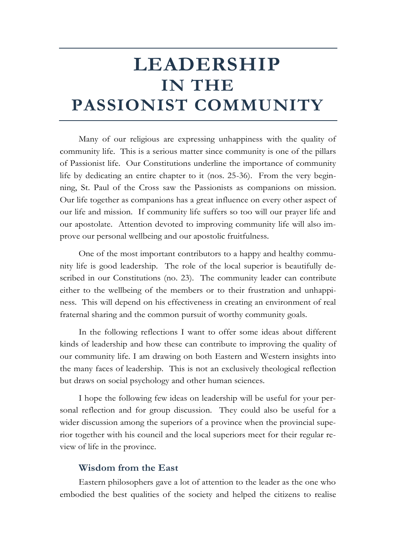# **LEADERSHIP IN THE PASSIONIST COMMUNITY**

Many of our religious are expressing unhappiness with the quality of community life. This is a serious matter since community is one of the pillars of Passionist life. Our Constitutions underline the importance of community life by dedicating an entire chapter to it (nos. 25-36). From the very beginning, St. Paul of the Cross saw the Passionists as companions on mission. Our life together as companions has a great influence on every other aspect of our life and mission. If community life suffers so too will our prayer life and our apostolate. Attention devoted to improving community life will also improve our personal wellbeing and our apostolic fruitfulness.

One of the most important contributors to a happy and healthy community life is good leadership. The role of the local superior is beautifully described in our Constitutions (no. 23). The community leader can contribute either to the wellbeing of the members or to their frustration and unhappiness. This will depend on his effectiveness in creating an environment of real fraternal sharing and the common pursuit of worthy community goals.

In the following reflections I want to offer some ideas about different kinds of leadership and how these can contribute to improving the quality of our community life. I am drawing on both Eastern and Western insights into the many faces of leadership. This is not an exclusively theological reflection but draws on social psychology and other human sciences.

I hope the following few ideas on leadership will be useful for your personal reflection and for group discussion. They could also be useful for a wider discussion among the superiors of a province when the provincial superior together with his council and the local superiors meet for their regular review of life in the province.

#### **Wisdom from the East**

Eastern philosophers gave a lot of attention to the leader as the one who embodied the best qualities of the society and helped the citizens to realise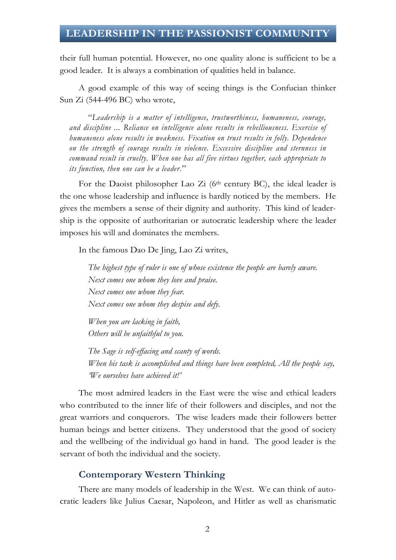# **LEADERSHIP IN THE PASSIONIST COMMUNITY**

their full human potential. However, no one quality alone is sufficient to be a good leader. It is always a combination of qualities held in balance.

A good example of this way of seeing things is the Confucian thinker Sun Zi (544-496 BC) who wrote,

"*Leadership is a matter of intelligence, trustworthiness, humaneness, courage, and discipline ... Reliance on intelligence alone results in rebelliousness. Exercise of humaneness alone results in weakness. Fixation on trust results in folly. Dependence on the strength of courage results in violence. Excessive discipline and sternness in command result in cruelty. When one has all five virtues together, each appropriate to its function, then one can be a leader*."

For the Daoist philosopher Lao Zi ( $6<sup>th</sup>$  century BC), the ideal leader is the one whose leadership and influence is hardly noticed by the members. He gives the members a sense of their dignity and authority. This kind of leadership is the opposite of authoritarian or autocratic leadership where the leader imposes his will and dominates the members.

In the famous Dao De Jing, Lao Zi writes,

*The highest type of ruler is one of whose existence the people are barely aware. Next comes one whom they love and praise. Next comes one whom they fear. Next comes one whom they despise and defy.*

*When you are lacking in faith, Others will be unfaithful to you.*

*The Sage is self-effacing and scanty of words. When his task is accomplished and things have been completed, All the people say, 'We ourselves have achieved it!'*

The most admired leaders in the East were the wise and ethical leaders who contributed to the inner life of their followers and disciples, and not the great warriors and conquerors. The wise leaders made their followers better human beings and better citizens. They understood that the good of society and the wellbeing of the individual go hand in hand. The good leader is the servant of both the individual and the society.

#### **Contemporary Western Thinking**

There are many models of leadership in the West. We can think of autocratic leaders like Julius Caesar, Napoleon, and Hitler as well as charismatic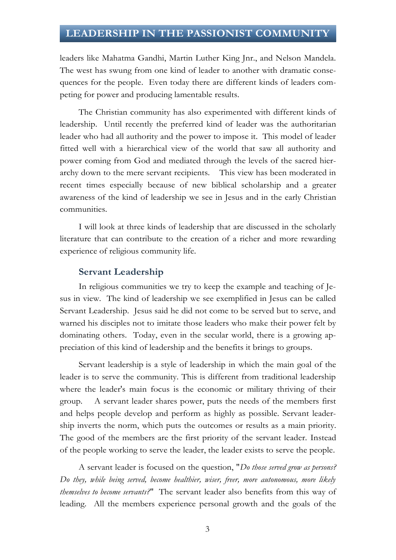# **LEADERSHIP IN THE PASSIONIST COMMUNITY**

leaders like Mahatma Gandhi, Martin Luther King Jnr., and Nelson Mandela. The west has swung from one kind of leader to another with dramatic consequences for the people. Even today there are different kinds of leaders competing for power and producing lamentable results.

The Christian community has also experimented with different kinds of leadership. Until recently the preferred kind of leader was the authoritarian leader who had all authority and the power to impose it. This model of leader fitted well with a hierarchical view of the world that saw all authority and power coming from God and mediated through the levels of the sacred hierarchy down to the mere servant recipients. This view has been moderated in recent times especially because of new biblical scholarship and a greater awareness of the kind of leadership we see in Jesus and in the early Christian communities.

I will look at three kinds of leadership that are discussed in the scholarly literature that can contribute to the creation of a richer and more rewarding experience of religious community life.

#### **Servant Leadership**

In religious communities we try to keep the example and teaching of Jesus in view. The kind of leadership we see exemplified in Jesus can be called Servant Leadership. Jesus said he did not come to be served but to serve, and warned his disciples not to imitate those leaders who make their power felt by dominating others. Today, even in the secular world, there is a growing appreciation of this kind of leadership and the benefits it brings to groups.

Servant leadership is a style of leadership in which the main goal of the leader is to serve the community. This is different from traditional leadership where the leader's main focus is the economic or military thriving of their group. A servant leader shares power, puts the needs of the members first and helps people develop and perform as highly as possible. Servant leadership inverts the norm, which puts the outcomes or results as a main priority. The good of the members are the first priority of the servant leader. Instead of the people working to serve the leader, the leader exists to serve the people.

A servant leader is focused on the question, "*Do those served grow as persons? Do they, while being served, become healthier, wiser, freer, more autonomous, more likely themselves to become servants?*" The servant leader also benefits from this way of leading. All the members experience personal growth and the goals of the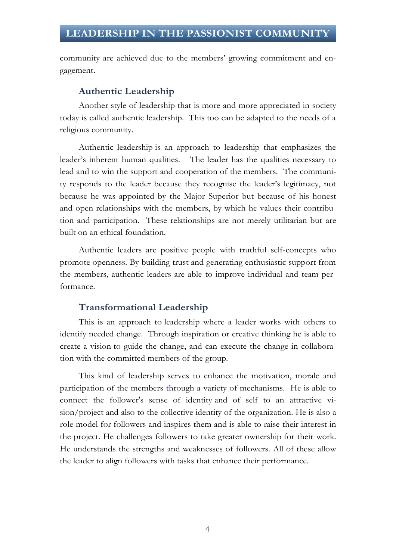community are achieved due to the members' growing commitment and engagement.

#### **Authentic Leadership**

Another style of leadership that is more and more appreciated in society today is called authentic leadership. This too can be adapted to the needs of a religious community.

Authentic leadership is an approach to leadership that emphasizes the leader's inherent human qualities. The leader has the qualities necessary to lead and to win the support and cooperation of the members. The community responds to the leader because they recognise the leader's legitimacy, not because he was appointed by the Major Superior but because of his honest and open relationships with the members, by which he values their contribution and participation. These relationships are not merely utilitarian but are built on an ethical foundation.

Authentic leaders are positive people with truthful self-concepts who promote openness. By building trust and generating enthusiastic support from the members, authentic leaders are able to improve individual and team performance.

#### **Transformational Leadership**

This is an approach to leadership where a leader works with others to identify needed change. Through inspiration or creative thinking he is able to create a vision to guide the change, and can execute the change in collaboration with the committed members of the group.

This kind of leadership serves to enhance the motivation, morale and participation of the members through a variety of mechanisms. He is able to connect the follower's sense of identity and of self to an attractive vision/project and also to the collective identity of the organization. He is also a role model for followers and inspires them and is able to raise their interest in the project. He challenges followers to take greater ownership for their work. He understands the strengths and weaknesses of followers. All of these allow the leader to align followers with tasks that enhance their performance.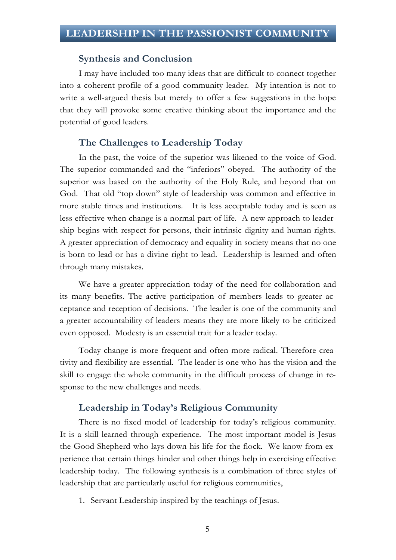#### **Synthesis and Conclusion**

I may have included too many ideas that are difficult to connect together into a coherent profile of a good community leader. My intention is not to write a well-argued thesis but merely to offer a few suggestions in the hope that they will provoke some creative thinking about the importance and the potential of good leaders.

#### **The Challenges to Leadership Today**

In the past, the voice of the superior was likened to the voice of God. The superior commanded and the "inferiors" obeyed. The authority of the superior was based on the authority of the Holy Rule, and beyond that on God. That old "top down" style of leadership was common and effective in more stable times and institutions. It is less acceptable today and is seen as less effective when change is a normal part of life. A new approach to leadership begins with respect for persons, their intrinsic dignity and human rights. A greater appreciation of democracy and equality in society means that no one is born to lead or has a divine right to lead. Leadership is learned and often through many mistakes.

We have a greater appreciation today of the need for collaboration and its many benefits. The active participation of members leads to greater acceptance and reception of decisions. The leader is one of the community and a greater accountability of leaders means they are more likely to be criticized even opposed. Modesty is an essential trait for a leader today.

Today change is more frequent and often more radical. Therefore creativity and flexibility are essential. The leader is one who has the vision and the skill to engage the whole community in the difficult process of change in response to the new challenges and needs.

#### **Leadership in Today's Religious Community**

There is no fixed model of leadership for today's religious community. It is a skill learned through experience. The most important model is Jesus the Good Shepherd who lays down his life for the flock. We know from experience that certain things hinder and other things help in exercising effective leadership today. The following synthesis is a combination of three styles of leadership that are particularly useful for religious communities,

1. Servant Leadership inspired by the teachings of Jesus.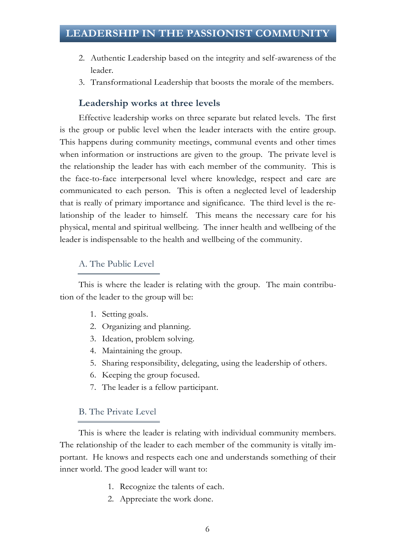- 2. Authentic Leadership based on the integrity and self-awareness of the leader.
- 3. Transformational Leadership that boosts the morale of the members.

## **Leadership works at three levels**

Effective leadership works on three separate but related levels. The first is the group or public level when the leader interacts with the entire group. This happens during community meetings, communal events and other times when information or instructions are given to the group. The private level is the relationship the leader has with each member of the community. This is the face-to-face interpersonal level where knowledge, respect and care are communicated to each person. This is often a neglected level of leadership that is really of primary importance and significance. The third level is the relationship of the leader to himself. This means the necessary care for his physical, mental and spiritual wellbeing. The inner health and wellbeing of the leader is indispensable to the health and wellbeing of the community.

### A. The Public Level

This is where the leader is relating with the group. The main contribution of the leader to the group will be:

- 1. Setting goals.
- 2. Organizing and planning.
- 3. Ideation, problem solving.
- 4. Maintaining the group.
- 5. Sharing responsibility, delegating, using the leadership of others.
- 6. Keeping the group focused.
- 7. The leader is a fellow participant.

#### B. The Private Level

This is where the leader is relating with individual community members. The relationship of the leader to each member of the community is vitally important. He knows and respects each one and understands something of their inner world. The good leader will want to:

- 1. Recognize the talents of each.
- 2. Appreciate the work done.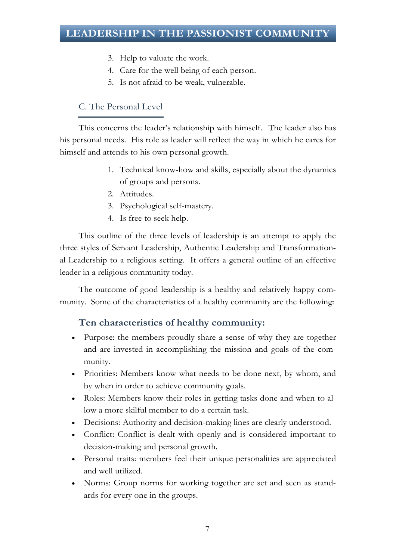- 3. Help to valuate the work.
- 4. Care for the well being of each person.
- 5. Is not afraid to be weak, vulnerable.

# C. The Personal Level

This concerns the leader's relationship with himself.The leader also has his personal needs. His role as leader will reflect the way in which he cares for himself and attends to his own personal growth.

- 1. Technical know-how and skills, especially about the dynamics of groups and persons.
- 2. Attitudes.
- 3. Psychological self-mastery.
- 4. Is free to seek help.

This outline of the three levels of leadership is an attempt to apply the three styles of Servant Leadership, Authentic Leadership and Transformational Leadership to a religious setting. It offers a general outline of an effective leader in a religious community today.

The outcome of good leadership is a healthy and relatively happy community. Some of the characteristics of a healthy community are the following:

## **Ten characteristics of healthy community:**

- Purpose: the members proudly share a sense of why they are together and are invested in accomplishing the mission and goals of the community.
- Priorities: Members know what needs to be done next, by whom, and by when in order to achieve community goals.
- Roles: Members know their roles in getting tasks done and when to allow a more skilful member to do a certain task.
- Decisions: Authority and decision-making lines are clearly understood.
- Conflict: Conflict is dealt with openly and is considered important to decision-making and personal growth.
- Personal traits: members feel their unique personalities are appreciated and well utilized.
- Norms: Group norms for working together are set and seen as standards for every one in the groups.